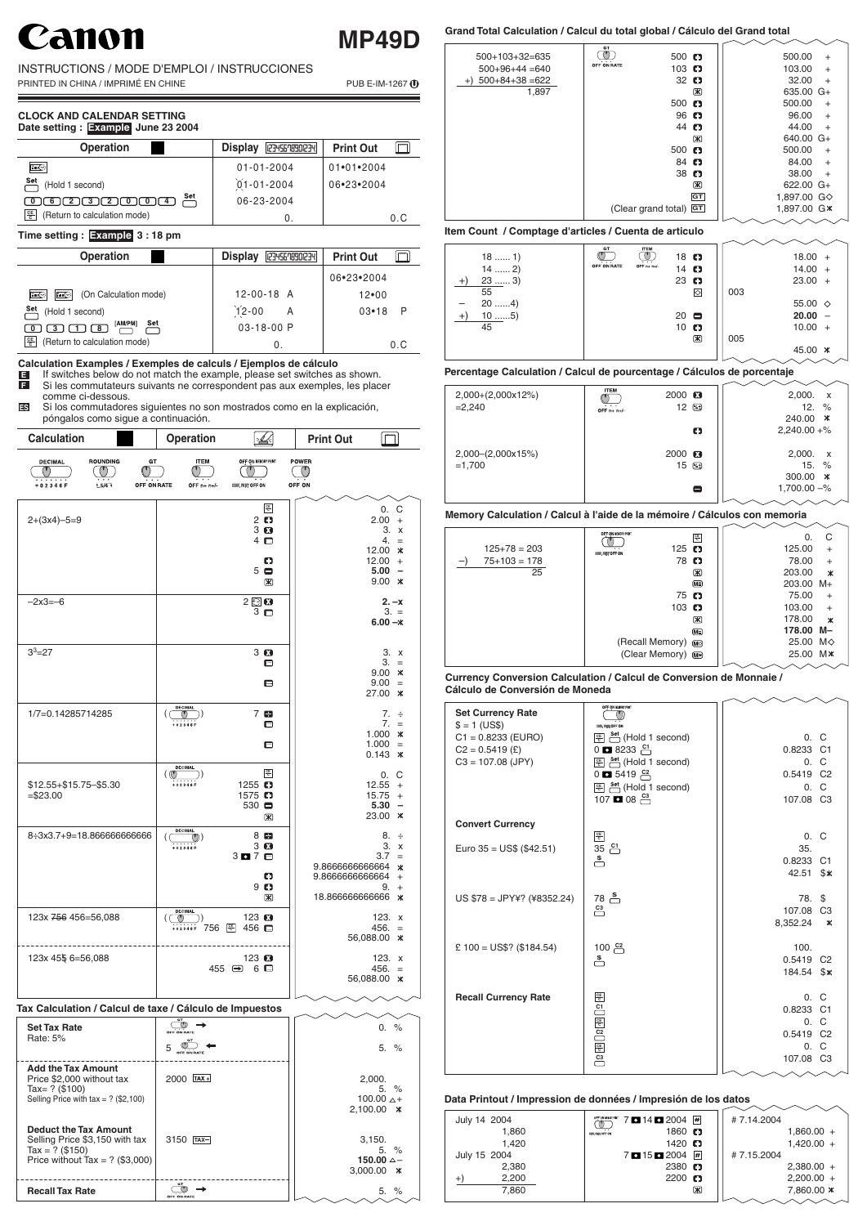# 1011

## **MP49D**

INSTRUCTIONS / MODE D'EMPLOI / INSTRUCCIONES

PRINTED IN CHINA / IMPRIMÉ EN CHINE PUB E-IM-1267 1

**Calculation Examples / Exemples de calculs / Ejemplos de cálculo**

#### **CLOCK AND CALENDAR SETTING Date setting : Example June 23 2004**



- If switches below do not match the example, please set switches as shown. **E**
- Si les commutateurs suivants ne correspondent pas aux exemples, les placer comme ci-dessous. **F**
- Si los commutadores siguientes no son mostrados como en la explicación, póngalos como sigue a continuación. **ES**

| $18$ 1)<br>$14$ 2)<br>$23$ 3)<br>$+)$ | GT<br>$\cdots$<br>OFF ON RATE | <b>ITEM</b><br>.<br>OFF $n + n + l$ | 18 $\Box$<br>14 $\blacksquare$<br>23 $\Box$ |             |     | $18.00 +$<br>$14.00 +$<br>$23.00 +$ |  |
|---------------------------------------|-------------------------------|-------------------------------------|---------------------------------------------|-------------|-----|-------------------------------------|--|
| 55                                    |                               |                                     |                                             | ⊘           | 003 |                                     |  |
| $20$ 4)                               |                               |                                     |                                             |             |     | 55.00 $\diamond$                    |  |
| $10$ $5)$<br>$^{+}$                   |                               |                                     | $20$ $\blacksquare$                         |             |     | $20.00 -$                           |  |
| 45                                    |                               |                                     | $10$ $\blacksquare$                         |             |     | $10.00 +$                           |  |
|                                       |                               |                                     |                                             | $\boxtimes$ | 005 |                                     |  |
|                                       |                               |                                     |                                             |             |     | 45.00 *                             |  |
|                                       |                               |                                     |                                             |             |     |                                     |  |

| <b>Calculation</b>                                                                              | <b>Operation</b>                              |                                                                                                 | <b>Print Out</b>                                                                                                                                                        |
|-------------------------------------------------------------------------------------------------|-----------------------------------------------|-------------------------------------------------------------------------------------------------|-------------------------------------------------------------------------------------------------------------------------------------------------------------------------|
| <b>ROUNDING</b><br><b>DECIMAL</b><br>GT<br>$(\mathsf{I})$<br>OFF ON RATE<br>$+5/4$<br>$+02346F$ | <b>ITEM</b><br>OFF n+ n+/-                    | OFF ON MEMORY PRINT<br>CONV. PRINT OFF ON                                                       | POWER<br>$\circledcirc$<br>OFF ON                                                                                                                                       |
| $2+(3x4)-5=9$                                                                                   |                                               | $rac{\text{CE}}{\text{C}}$<br>$2$ $\Omega$<br>3 <sup>2</sup><br>$4$ $\blacksquare$<br>o         | 0.<br>С<br>2.00<br>$\ddot{}$<br>3. x<br>4.<br>$=$<br>12.00<br>$\ast$<br>12.00<br>$\ddot{}$                                                                              |
|                                                                                                 |                                               | 5 <sub>0</sub><br>$\mathbb{R}$                                                                  | 5.00<br>$\overline{\phantom{0}}$<br>9.00<br>$\boldsymbol{\ast}$                                                                                                         |
| $-2x3=-6$                                                                                       |                                               | 2E<br>3 <sub>0</sub>                                                                            | $2. -x$<br>$3. =$<br>$6.00 - x$                                                                                                                                         |
| $3^3 = 27$                                                                                      |                                               | 3 <sup>2</sup><br>Θ<br>Θ                                                                        | 3. x<br>З.<br>$\equiv$<br>9.00<br>Ж<br>9.00<br>$=$<br>27.00<br>Ж                                                                                                        |
| 1/7=0.14285714285                                                                               | <b>DECIMAL</b><br>$\circ$<br>+02346F          | 7 E<br>Θ<br>Θ                                                                                   | $7. \div$<br>7.<br>$=$<br>1.000<br>$\boldsymbol{\ast}$<br>1.000<br>$\equiv$<br>0.143<br>Ж                                                                               |
| \$12.55+\$15.75-\$5.30<br>$= $23.00$                                                            | <b>DECIMAL</b><br>( (U<br>$+02346F$           | $rac{\text{CE}}{\text{C}}$<br>1255 $\Box$<br>1575 $\Box$<br>$530$ $\blacksquare$<br>$\boxtimes$ | C<br>0.<br>12.55<br>$\ddot{}$<br>15.75<br>$\ddot{}$<br>5.30<br>$\overline{\phantom{0}}$<br>23.00<br>$\boldsymbol{\times}$                                               |
| 8:3x3.7+9=18.866666666666                                                                       | <b>DECIMAL</b><br>$\circledcirc$<br>$+02346F$ | 8 <sup>2</sup><br>3 <sup>2</sup><br>3070<br>o<br>9 <sup>o</sup><br>図                            | 8.<br>$\div$<br>3.<br>$\mathsf{X}$<br>3.7<br>$=$<br>9.866666666664<br>$\ast$<br>9.866666666664<br>$\ddot{}$<br>9.<br>$\ddot{}$<br>18.86666666666<br>$\boldsymbol{\ast}$ |
| 123x 756 456=56,088                                                                             | <b>DECIMAL</b><br>$\circ$<br>$+02346F$ 756    | 123 $\mathbf{E}$<br>456 $\blacksquare$                                                          | 123. $x$<br>456.<br>$\equiv$<br>ER 099 00 V                                                                                                                             |

## **Item Count / Comptage d'articles / Cuenta de articulo**

| <b>Operation</b>                             | <b>Display</b><br>12345678901234 | <b>MANAGER</b><br><b>Print Out</b> |
|----------------------------------------------|----------------------------------|------------------------------------|
| $\mathbb{R}^n$                               | $01 - 01 - 2004$                 | $01 \cdot 01 \cdot 2004$           |
| $rac{\mathsf{Set}}{ }$<br>(Hold 1 second)    | $01 - 01 - 2004$                 | 06.23.2004                         |
| Set<br>$\lceil 0 \rceil$ 6 2 2 3 2 0 0 0 1 4 | 06-23-2004                       |                                    |
| 똥<br>(Return to calculation mode)            |                                  | n c                                |

## **Grand Total Calculation / Calcul du total global / Cálculo del Grand total**

## **Memory Calculation / Calcul à l'aide de la mémoire / Cálculos con memoria**

#### **Currency Conversion Calculation / Calcul de Conversion de Monnaie / Cálculo de Conversión de Moneda**

|                     | GT                                              |             |                |                         |                |  |
|---------------------|-------------------------------------------------|-------------|----------------|-------------------------|----------------|--|
| $500+103+32=635$    | $500$ $\blacksquare$<br>$\cdots$<br>OFF ON RATE |             |                | 500.00                  | $+$            |  |
| $500+96+44=640$     | 103 $\bullet$                                   |             |                | 103.00                  | $+$            |  |
| $+)$ 500+84+38 =622 | $32$ $\blacksquare$                             |             |                | 32.00                   | $+$            |  |
| 1,897               |                                                 | Ж           |                | $635.00 \text{ G+}$     |                |  |
|                     | $500$ $\Box$                                    |             |                | 500.00                  | $+$            |  |
|                     | $96$ $\Box$                                     |             |                | 96.00                   | $\ddot{}$      |  |
|                     | 44 C                                            |             |                | 44.00                   | $\overline{+}$ |  |
|                     |                                                 | Ж           |                | $640.00 \text{ G}+$     |                |  |
|                     | $500$ $\blacksquare$                            |             |                | 500.00                  | $\ddot{}$      |  |
|                     | 84 C                                            |             |                | 84.00                   | $\ddot{}$      |  |
|                     | $38$ $\Box$                                     |             |                | 38.00                   | $\ddot{}$      |  |
|                     |                                                 | $\mathbb R$ |                | $622.00 \text{ G}+$     |                |  |
|                     |                                                 | GT          |                | 1,897.00 G $\diamond$   |                |  |
|                     | (Clear grand total) GT                          |             |                | 1,897.00 G <sup>*</sup> |                |  |
|                     |                                                 |             | <b>^</b> ^ ^ ^ |                         |                |  |

|              | OFF ON NEWORY PRINT            | 똥                                | 0.                   | C                         |
|--------------|--------------------------------|----------------------------------|----------------------|---------------------------|
| $125+78=203$ | 125 $\Box$<br>COM. PANT OFF ON |                                  | 125.00               | $\ddot{}$                 |
| $75+103=178$ |                                | 78 O                             | 78.00                | $\ddot{}$                 |
| 25           |                                | Ж                                | 203.00               | $\boldsymbol{\mathsf{x}}$ |
|              |                                | $(\overline{\mathsf{M}}\bar{z})$ | 203.00 M+            |                           |
|              |                                | $75$ $\blacksquare$              | 75.00                | $+$                       |
|              | 103 $\bullet$                  |                                  | 103.00               | $\ddot{}$                 |
|              |                                | $\mathbb R$                      | 178.00               | $\boldsymbol{\mathsf{x}}$ |
|              |                                | $(\overline{M\Xi})$              | 178.00 M-            |                           |
|              | (Recall Memory) Mo             |                                  | 25.00 M◇             |                           |
|              | (Clear Memory) M*              |                                  | 25.00 M <sup>*</sup> |                           |
|              |                                |                                  |                      |                           |



## **Percentage Calculation / Calcul de pourcentage / Cálculos de porcentaje**

| 2,000+(2,000x12%)<br>$=2,240$ | <b>ITEM</b><br>$\ddot{\phantom{1}}$<br>OFF $n + n+/-$ | 2000 3<br>12 ⊠        | 2,000.<br>$\boldsymbol{\mathsf{x}}$<br>12. $%$ |
|-------------------------------|-------------------------------------------------------|-----------------------|------------------------------------------------|
|                               |                                                       |                       | 240.00<br>- ⋇                                  |
|                               |                                                       | O                     | $2,240.00 +\%$                                 |
| $2,000-(2,000x15%)$           |                                                       | $2000$ $\blacksquare$ | 2,000.<br>$\mathsf{X}$                         |
| $=1,700$                      |                                                       | 15 ⊠                  | $15. \%$                                       |
|                               |                                                       |                       | 300.00<br>— ж                                  |
|                               |                                                       | 8                     | $1,700.00 - %$                                 |
|                               |                                                       |                       |                                                |

## **Time setting : Example 3 : 18 pm**

| <b>Operation</b>                                | <b>Display</b><br>(234567890(234) | <b>Print Out</b> |
|-------------------------------------------------|-----------------------------------|------------------|
|                                                 |                                   | 06.23.2004       |
| (On Calculation mode)<br>$\mathbb{E}$<br>∥⊪ (◇) | $12 - 00 - 18$ A                  | $12 - 00$        |
| Set<br>(Hold 1 second)                          | $12 - 00$<br>A                    | $03 - 18$<br>P   |
| Set<br>[AM/PM]<br>-3<br>I 8<br>I 0              | $03 - 18 - 00$ P                  |                  |
| ᅊ<br>(Return to calculation mode)               | O.                                | 0.C              |



| <b>Set Currency Rate</b><br>$$ = 1 (US$)$ | OFF ON MEMORY PRINT<br>COIN, PRINT OFF ON                                                      |                       |      |
|-------------------------------------------|------------------------------------------------------------------------------------------------|-----------------------|------|
| $C1 = 0.8233$ (EURO)                      | <u><sup>@</sup> Set</u> (Hold 1 second)                                                        |                       | 0. C |
| $C2 = 0.5419$ (£)                         | $0$ $\blacksquare$ 8233 $\stackrel{\text{C1}}{\square}$                                        | 0.8233 C1             |      |
| $C3 = 107.08$ (JPY)                       | <u> 종 set</u> (Hold 1 second)                                                                  | 0. C                  |      |
|                                           | $0 \Box 5419 \Box$                                                                             | 0.5419 C <sub>2</sub> |      |
|                                           | $\boxed{\frac{\text{ce}}{\text{c}}}\ \stackrel{\text{Set}}{\text{of}}\ (\text{Hold 1 second})$ | 0. C                  |      |
|                                           | 107 <b>D</b> 08 $\frac{C_3}{C_1}$                                                              | 107.08 C <sub>3</sub> |      |
|                                           |                                                                                                |                       |      |
| <b>Convert Currency</b>                   |                                                                                                |                       |      |
|                                           | $rac{CE}{C}$                                                                                   | 0. C                  |      |
| Euro $35 = US\$ (\$42.51)                 | 35 $\frac{c_1}{c_2}$                                                                           | 35.                   |      |
|                                           | ≛                                                                                              | 0.8233 C1             |      |
|                                           |                                                                                                | 42.51 \$*             |      |
|                                           |                                                                                                |                       |      |
| $US $78 = JPY4$ ? (¥8352.24)              | $78\frac{1}{11}$                                                                               | 78. S                 |      |
|                                           | $\overset{\mathbf{C3}}{\rightarrow}$                                                           | 107.08 C <sub>3</sub> |      |
|                                           |                                                                                                | 8,352.24              | Ж    |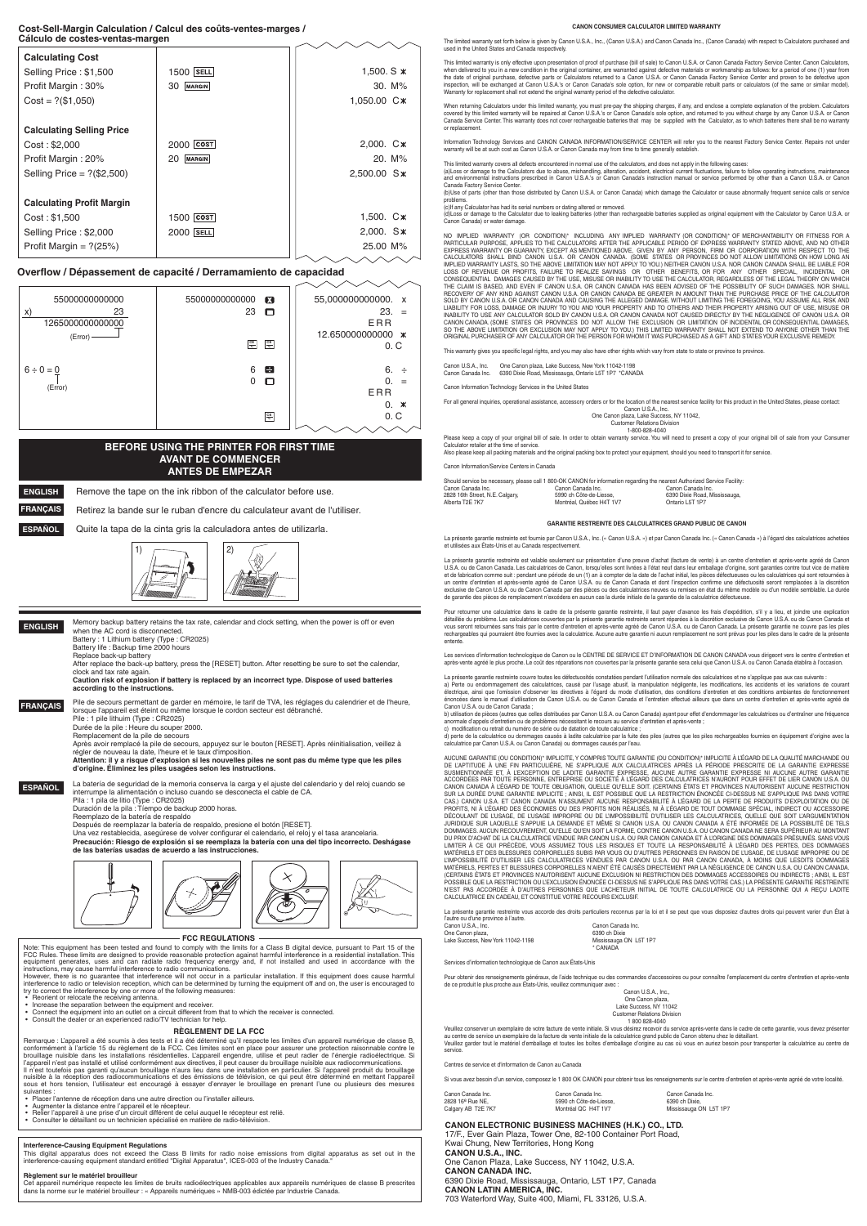#### **Overflow / Dépassement de capacité / Derramamiento de capacidad**



| <b>Calculating Cost</b>          |                 |                         |
|----------------------------------|-----------------|-------------------------|
| Selling Price: \$1,500           | $1500$  SELL    | 1,500. $S \times$       |
| Profit Margin: 30%               | MARGIN<br>30    | $30. M\%$               |
| $Cost = ?($1,050)$               |                 | 1,050.00 C <sup>*</sup> |
|                                  |                 |                         |
| <b>Calculating Selling Price</b> |                 |                         |
| Cost: \$2,000                    | $2000$ $ cost $ | $2,000.$ $C*$           |
| Profit Margin: 20%               | MARGIN<br>20    | $20. M\%$               |
| Selling Price = $?(\$2,500)$     |                 | 2,500.00 S*             |
|                                  |                 |                         |
| <b>Calculating Profit Margin</b> |                 |                         |
| Cost: \$1,500                    | 1500   cost     | 1,500. C <sup>*</sup>   |
| Selling Price: \$2,000           | $2000$  SELL    | $2,000.$ S <sup>*</sup> |
| Profit Margin = $? (25%)$        |                 | 25.00 M%                |
|                                  |                 |                         |

#### **Business Cálculo de costes-ventas-margen Cost-Sell-Margin Calculation / Calcul des coûts-ventes-marges /**

Memory backup battery retains the tax rate, calendar and clock setting, when the power is off or even when the AC cord is disconnected.

#### **BEFORE USING THE PRINTER FOR FIRST TIME AVANT DE COMMENCER ANTES DE EMPEZAR**

**ESPAÑOL**

**ENGLISH**

**ESPAÑOL**

**ENGLISH**

**FRANÇAIS** Remove the tape on the ink ribbon of the calculator before use. Retirez la bande sur le ruban d'encre du calculateur avant de l'utiliser.

Quite la tapa de la cinta gris la calculadora antes de utilizarla.



#### **CANON ELECTRONIC BUSINESS MACHINES (H.K.) CO., LTD.**

17/F., Ever Gain Plaza, Tower One, 82-100 Container Port Road, Kwai Chung, New Territories, Hong Kong **CANON U.S.A., INC.** One Canon Plaza, Lake Success, NY 11042, U.S.A. **CANON CANADA INC.** 6390 Dixie Road, Mississauga, Ontario, L5T 1P7, Canada **CANON LATIN AMERICA, INC.** 703 Waterford Way, Suite 400, Miami, FL 33126, U.S.A.

**FRANÇAIS** Pile de secours permettant de garder en mémoire, le tarif de TVA, les réglages du calendrier et de l'heure lorsque l'appareil est éteint ou même lorsque le cordon secteur est débranché.

Battery : 1 Lithium battery (Type : CR2025) Battery life : Backup time 2000 hours

Replace back-up battery

After replace the back-up battery, press the [RESET] button. After resetting be sure to set the calendar, clock and tax rate again.

**Caution risk of explosion if battery is replaced by an incorrect type. Dispose of used batteries according to the instructions.**

However, there is no guarantee that interference will not occur in a particular installation. If this equipment does cause harmful interference to radio or television reception, which can be determined by turning the equipment off and on, the user is encouraged to try to correct the interference by one or more of the following measures:<br>
• Reorient or relocate the receiving antenna.

Pile : 1 pile lithuim (Type : CR2025) Durée de la pile : Heure du souper 2000.

Remplacement de la pile de secours

- 
- Reorient or relocate the receiving antenna. Increase the separation between the equipment and receiver.
- Connect the equipment into an outlet on a circuit different from that to which the receiver is connected.
- Consult the dealer or an experienced radio/TV technician for help.

Après avoir remplacé la pile de secours, appuyez sur le bouton [RESET]. Après réinitialisation, veillez à

Remarque : L'appareil a été soumis à des tests et il a été déterminé qu'il respecte les limites d'un appareil numérique de classe B, conformément à l'article 15 du règlement de la FCC. Ces limites sont en place pour assurer une protection raisonnable contre le<br>brouillage nuisible dans les installations résidentielles. L'appareil engendre, utilise et peu Il n'est toutefois pas garanti qu'aucun brouillage n'aura lieu dans une installation en particulier. Si l'appareil produit du brouillage<br>nuisible à la réception des radiocommunications et des émissions de télévision, ce qu sous et hors tension, l'utilisateur est encouragé à essayer d'enrayer le brouillage en prenant l'une ou plusieurs des mesures suivantes

régler de nouveau la date, l'heure et le taux d'imposition. **Attention: il y a risque d'explosion si les nouvelles piles ne sont pas du même type que les piles** 

**d'origine. Éliminez les piles usagées selon les instructions.**

La batería de seguridad de la memoria conserva la carga y el ajuste del calendario y del reloj cuando se interrumpe la alimentación o incluso cuando se desconecta el cable de CA. Pila : 1 pila de litio (Type : CR2025)

Duración de la pila : Tíempo de backup 2000 horas.

Reemplazo de la batería de respaldo

Después de reemplazar la batería de respaldo, presione el botón [RESET].

The limited warranty set forth below is given by Canon U.S.A., Inc., (Canon U.S.A.) and Canon Canada Inc., (Canon Canada) with respect to Calculators purchased and used in the United States and Canada respectively.

Una vez restablecida, asegúrese de volver configurar el calendario, el reloj y el tasa arancelaria. **Precaución: Riesgo de explosión si se reemplaza la batería con una del tipo incorrecto. Deshágase de las baterías usadas de acuerdo a las instrucciones.**



#### **Interference-Causing Equipment Regulations**

This digital apparatus does not exceed the Class B limits for radio noise emissions from digital apparatus as set out in the dinterference-causing equipment standard entitled "Digital Apparatus", ICES-003 of the Industry Canada.

#### **Règlement sur le matériel brouilleur**

Cet appareil numérique respecte les limites de bruits radioélectriques applicables aux appareils numériques de classe B prescrites dans la norme sur le matériel brouilleur : « Appareils numériques » NMB-003 édictée par lndustrie Canada.

Canon U.S.A., Inc. **Canon** Canada Inc. One Canon plaza, 6390 ch Dixie Lake Success, New York 11042-1198

Information Technology Services and CANON CANADA INFORMATION/SERVICE CENTER will refer you to the nearest Factory Service Center. Repairs not under warranty will be at such cost as Canon U.S.A. or Canon Canada may from time to time generally establish

(a)Loss or damage to the Calculators due to abuse, mishandling, alteration, accident, electrical current fluctuations, failure to follow operating instructions, maintenance<br>and environmental instructions prescribed in Cano Canada Factory Service Center.

NO IMPLIED WARRANTY (OR CONDITION)\* INCLUDING ANY IMPLIED WARRANTY (OR CONDITION)\* OF MERCHANTABILITY OR FITNESS FOR A PARTICULAR PURPOSE, APPLIES TO THE CALCULATORS AFTER THE APPLICABLE PERIOD OF EXPRESS WARRANTY STATED ABOVE, AND NO OTHER<br>EXPRESS WARRANTY OR GUARANTY, EXCEPT AS MENTIONED ABOVE, GIVEN BY ANY PERSON, FIRM OR CORPORATION WI CALCULATORS SHALL BIND CANON U.S.A. OR CANON CANADA. (SOME STATES OR PROVINCES DO NOT ALLOW LIMITATIONS ON HOW LONG AN IMPLIED WARRANTY LASTS, SO THE ABOVE LIMITATION MAY NOT APPLY TO YOU.) NEITHER CANON U.S.A. NOR CANON CANADA SHALL BE LIABLE FOR<br>LOSS OF REVENUE OR PROFITS, FAILURE TO REALIZE SAVINGS OR OTHER BENEFITS, OR FOR ANY OTHER SP THE CLAIM IS BASED, AND EVEN IF CANON U.S.A. OR CANON CANADA HAS BEEN ADVISED OF THE POSSIBILITY OF SUCH DAMAGES. NOR SHALL<br>RECOVERY OF ANY KIND AGAINST CANON U.S.A. OR CANON CANADA BE GREATER IN AMOUNT THAN THE PURCHASE P SOLD BY CANON U.S.A. OR CANON CANADA AND CAUSING THE ALLEGED DAMAGE. WITHOUT LIMITING THE FOREGOING, YOU ASSUME ALL RISK AND LIABILITY FOR LOSS, DAMAGE OR INJURY TO YOU AND YOUR PROPERTY AND TO OTHERS AND THEIR PROPERTY ARISING OUT OF USE, MISUSE OR<br>INABILITY TO USE ANY CALCULATOR SOLD BY CANON U.S.A. OR CANON CANADA NOT CAUSED DIRECTLY BY THE N CANON CANADA. (SOME STATES OR PROVINCES DO NOT ALLOW THE EXCLUSION OR LIMITATION OF INCIDENTAL OR CONSEQUENTIAL DAMAGES, SO THE ABOVE LIMITATION OR EXCLUSION MAY NOT APPLY TO YOU.) THIS LIMITED WARRANTY SHALL NOT EXTEND TO ANYONE OTHER THAN THE<br>ORIGINAL PURCHASER OF ANY CALCULATOR OR THE PERSON FOR WHOM IT WAS PURCHASED AS A GIFT AND STATES

This warranty gives you specific legal rights, and you may also have other rights which vary from state to state or province to province

#### **RÈGLEMENT DE LA FCC**

Please keep a copy of your original bill of sale. In order to obtain warranty service. You will need to present a copy of your original bill of sale from your Consumer Calculator retailer at the time of service.

- Placer l'antenne de réception dans une autre direction ou l'installer ailleurs.
- Augmenter la distance entre l'appareil et le récepteur.
- Relier l'appareil à une prise d'un circuit différent de celui auquel le récepteur est relié.
- Consulter le détaillant ou un technicien spécialisé en matière de radio-télévision.

#### **FCC REGULATIONS**

Note: This equipment has been tested and found to comply with the limits for a Class B digital device, pursuant to Part 15 of the<br>FCC Rules. These limits are designed to provide reasonable protection against harmful interf equipment generates, uses and can radiate radio frequency energy and, if not installed and used in accordance with the instructions may cause harmful interference to radio communications

**CANON CONSUMER CALCULATOR LIMITED WARRANTY**

This limited warranty is only effective upon presentation of proof of purchase (bill of sale) to Canon U.S.A. or Canon Canada Factory Service Center. Canon Calculators, when delivered to you in a new condition in the original container, are warranted against defective materials or workmanship as follows: for a period of one (1) year from<br>the date of original purchase, defective parts or C Warranty for replacement shall not extend the original warranty period of the defective calculator.

When returning Calculators under this limited warranty, you must pre-pay the shipping charges, if any, and enclose a complete explanation of the problem. Calculators covered by this limited warranty will be repaired at Canon U.S.A.'s or Canon Canada's sole option, and returned to you without charge by any Canon U.S.A. or Canon<br>Canada Service Center. This warranty does not cover recharg or replacement

Pour retourner une calculatrice dans le cadre de la présente garantie restreinte, il faut payer d'avance les frais d'expédition, s'il y a lieu, et joindre une explication détaillée du problème. Les calculatrices couvertes par la présente garantie restreinte seront réparées à la discrétion exclusive de Canon U.S.A. ou de Canon Canada et<br>vous seront retournées sans frais par le centre d'entre rechargeables qui pourraient être fournies avec la calculatrice. Aucune autre garantie ni aucun remplacement ne sont prévus pour les piles dans le cadre de la présente entente.

Les services d'information technologique de Canon ou le CENTRE DE SERVICE ET D'INFORMATION DE CANON CANADA vous dirigeont vers le centre d'entretien et après-vente agréé le plus proche. Le coût des réparations non couvertes par la présente garantie sera celui que Canon U.S.A. ou Canon Canada établira à l'occasion.

La présente garantie restreinte couvre toutes les défectuosités constatées pendant l'utilisation normale des calculatrices et ne s'applique pas aux cas suivants a) Perte ou endommagement des calculatrices, causé par l'usage abusif, la manipulation négligente, les modifications, les accidents et les variations de courant<br>électrique, ainsi que l'omission d'observer les directives à énoncées dans le manuel d'utilisation de Canon U.S.A. ou de Canon Canada et l'entretien effectué ailleurs que dans un centre d'entretien et après-vente agréé de Canon U.S.A. ou de Canon Canada ;

c) modification ou retrait du numéro de série ou de datation de toute calculatrice ;<br>d) perte de la calculatrice ou dommages causés à ladite calculatrice par la fuite des piles que les piles rechargeables fournies en équip calculatrice par Canon U.S.A. ou Canon Canada) ou dommages causés par l'eau.

This limited warranty covers all defects encountered in normal use of the calculators, and does not apply in the following cases:

(b)Use of parts (other than those distributed by Canon U.S.A. or Canon Canada) which damage the Calculator or cause abnormally frequent service calls or service problems. (c)If any Calculator has had its serial numbers or dating altered or removed.

(d)Loss or damage to the Calculator due to leaking batteries (other than rechargeable batteries supplied as original equipment with the Calculator by Canon U.S.A. or Canon Canada) or water damage.

La présente garantie restreinte vous accorde des droits particuliers reconnus par la loi et il se peut que vous disposiez d'autres droits qui peuvent varier d'un État à l'autre ou d'une province à l'autre.

Pour obtenir des renseignements généraux, de l'aide technique ou des commandes d'accessoires ou pour connaître l'emplacement du centre d'entretien et après-vente de ce produit le plus proche aux États-Unis, veuillez communiquer avec :

Veuillez conserver un exemplaire de votre facture de vente initiale. Si vous désirez recevoir du service après-vente dans le cadre de cette garantie, vous devez présenter au centre de service un exemplaire de la facture de vente initiale de la calculatrice grand public de Canon obtenu chez le détaillant.

Canon U.S.A., Inc. One Canon plaza, Lake Success, New York 11042-1198

Canon Canada Inc. 6390 Dixie Road, Mississauga, Ontario L5T 1P7 \*CANADA

Canon Information Technology Services in the United States

For all general inquiries, operational assistance, accessory orders or for the location of the nearest service facility for this product in the United States, please contact:

Canon U.S.A., Inc. One Canon plaza, Lake Success, NY 11042, Customer Relations Division 1-800-828-4040

Also please keep all packing materials and the original packing box to protect your equipment, should you need to transport it for service.

Canon Information/Service Centers in Canada

|                                 | Should service be necessary, please call 1 800-OK CANON for information regarding the nearest Authorized Service Facility: |                               |
|---------------------------------|----------------------------------------------------------------------------------------------------------------------------|-------------------------------|
| Canon Canada Inc.               | Canon Canada Inc.                                                                                                          | Canon Canada Inc.             |
| 2828 16th Street, N.E. Calgary, | 5990 ch Côte-de-Liesse.                                                                                                    | 6390 Dixie Road, Mississauga, |
| Alberta T2E 7K7                 | Montréal, Québec H4T 1V7                                                                                                   | Ontario L5T 1P7               |
|                                 |                                                                                                                            |                               |

#### **GARANTIE RESTREINTE DES CALCULATRICES GRAND PUBLIC DE CANON**

La présente garantie restreinte est fournie par Canon U.S.A., Inc. (« Canon U.S.A. ») et par Canon Canada Inc. (« Canon Canada ») à l'égard des calculatrices achetées et utilisées aux États-Unis et au Canada res

La présente garantie restreinte est valable seulement sur présentation d'une preuve d'achat (facture de vente) à un centre d'entretien et aprés-vente agréé de Canon<br>U.S.A. ou de Canon Canada. Les calculatrices de Canon, l un centre d'entretien et après-vente agréé de Canon U.S.A. ou de Canon Canada et dont l'inspection confirme une défectuosité seront remplacées à la discrétion exclusive de Canon U.S.A. ou de Canon Canada par des pièces ou des calculatrices neuves ou remises en état du même modèle ou d'un modèle semblable. La durée de garantie des pièces de remplacement n'excédera en aucun cas la durée initiale de la garantie de la calculatrice défectueuse

b) utilisation de pièces (autres que celles distribuées par Canon U.S.A. ou Canon Canada) ayant pour effet d'endommager les calculatrices ou d'entraîner une fréquence anormale d'appels d'entretien ou de problèmes nécessitant le recours au service d'entretien et après-vente ;

AUCUNE GARANTIE (OU CONDITION)\* IMPLICITE, Y COMPRIS TOUTE GARANTIE (OU CONDITION)\* IMPLICITE À L'ÉGARD DE LA QUALITÉ MARCHANDE OU DE L'APTITUDE A UNE FIN PARTICULIERE, NE S'APPLIQUE AUX CALCULATRICES APRES LA PERIODE PRESCRITE DE LA GARANTIE EXPRESSE<br>SUSMENTIONNÉE ET, À L'EXCEPTION DE LADITE GARANTIE EXPRESSE, AUCUNE AUTRE GARANTIE EXPRESSE NI AUCUNE CANON CANADA A L'EGARD DE TOUTE OBLIGATION, QUELLE QU'ELLE SOIT. (CERTAINS ETATS ET PROVINCES N'AUTORISENT AUCUNE RESTRICTION<br>SUR LA DURÉE D'UNE GARANTIE IMPLICITE ; AINSI, IL EST POSSIBLE QUE LA RESTRICTION ÉNONCÉE CI-DES CAS.) CANON U.S.A. ET CANON CANADA N'ASSUMENT AUCUNE RESPONSABILITE A L'EGARD DE LA PERTE DE PRODUITS D'EXPLOITATION OU DE<br>PROFITS, NI À L'ÉGARD DES ÉCONOMIES OU DES PROFITS NON RÉALISÉS, NI À L'ÉGARD DE TOUT DOMMAGE SPÉCI JURIDIQUE SUR LAQUELLE S'APPUIE LA DEMANDE ET MEME SI CANON U.S.A. OU CANON CANADA A ETE INFORMEE DE LA POSSIBILITE DE TELS<br>DOMMAGES. AUCUN RECOUVREMENT, QU'ELLE QU'EN SOIT LA FORME, CONTRE CANON U.S.A. OU CANON CANADA NE DU PRIX D'ACHAT DE LA CALCULATRICE VENDUE PAR CANON U.S.A. OU PAR CANON CANADA ET À L'ORIGINE DES DOMMAGES PRÉSUMÉS. SANS VOUS LIMITER A CE QUI PRECEDE, VOUS ASSUMEZ TOUS LES RISQUES ET TOUTE LA RESPONSABILITE A L'EGARD DES PERTES, DES DOMMAGES<br>MATÉRIELS ET DES BLESSURES CORPORELLES SUBIS PAR VOUS OU D'AUTRES PERSONNES EN RAISON DE L'USAGE, DE L'U L'IMPOSSIBILITE D'UTILISER LES CALCULATRICES VENDUES PAR CANON U.S.A. OU PAR CANON CANADA, A MOINS QUE LESDITS DOMMAGES<br>MATÉRIELS, PERTES ET BLESSURES CORPORELLES N'AIENT ÉTÉ CAUSÉS DIRECTEMENT PAR LA NÉGLIGENCE DE CANON U POSSIBLE QUE LA RESTRICTION OU L'EXCLUSION ENONCEE CI-DESSUS NE S'APPLIQUE PAS DANS VOTRE CAS.) LA PRESENTE GARANTIE RESTREINTE<br>N'EST PAS ACCORDÉE À D'AUTRES PERSONNES QUE L'ACHETEUR INITIAL DE TOUTE CALCULATRICE OU LA PER CALCULATRICE EN CADEAU, ET CONSTITUE VOTRE RECOURS EXCLUSIF.

\* CANADA

Services d'information technologique de Canon aux États-Unis

Canon U.S.A., Inc., One Canon plaza, Lake Success, NY 11042 Customer Relations Division 1 800 828-4040

Veuillez garder tout le matériel d'emballage et toutes les boîtes d'emballage d'origine au cas où vous en auriez besoin pour transporter la calculatrice au centre de service.

Centres de service et d'information de Canon au Canada

Si vous avez besoin d'un service, composez le 1 800 OK CANON pour obtenir tous les renseignements sur le centre d'entretien et après-vente agréé de votre localité.

| Canon Canada Inc.            | Canon Canada Inc.       | Canon Canada Inc.      |
|------------------------------|-------------------------|------------------------|
| 2828 16 <sup>e</sup> Rue NE. | 5990 ch Côte-de-Liesse. | 6390 ch Dixie.         |
| Calgary AB T2E 7K7           | Montréal QC H4T 1V7     | Mississauga ON L5T 1P7 |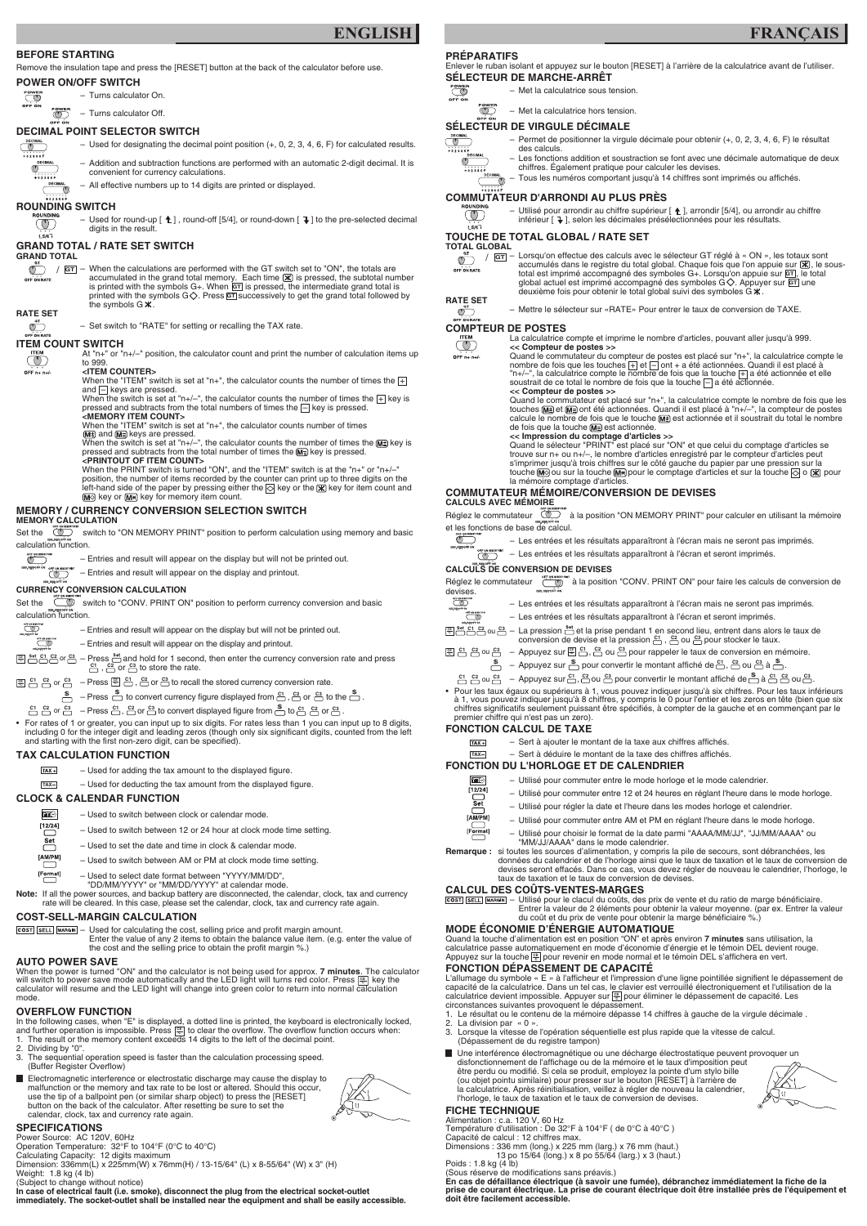#### **BEFORE STARTING**

Remove the insulation tape and press the [RESET] button at the back of the calculator before use.

POWER<br>OFF ON – Turns calculator On.

 $\overline{\mathbb{O}}$ – Turns calculator Off.

#### **POWER ON/OFF SWITCH**

#### **DECIMAL POINT SELECTOR SWITCH**



#### $^{\circ}$ **ROUNDING SWITCH**

**DECIMA** 

- Used for round-up  $[\hat{t}]$ , round-off [5/4], or round-down  $[\hat{t}]$  to the pre-selected decimal digits in the result.

– When the calculations are performed with the GT switch set to "ON", the totals are  $\circledcirc$ **GT** / accumulated in the grand total memory. Each time  $\mathbb K$  is pressed, the subtotal number OFF ON RATE is printed with the symbols G+. When **GT** is pressed, the intermediate grand total is printed with the symbols G $\diamondsuit$ . Press  $\overline{\mathtt{GT}}$  successively to get the grand total followed by the symbols  $G \times$ 

– Addition and subtraction functions are performed with an automatic 2-digit decimal. It is



 $\overline{\mathcal{O}}$ 

convenient for currency calculations. – All effective numbers up to 14 digits are printed or displayed.

#### **RATE SET**  $\overline{\mathbb{C}}$

OFF  $n + n + l$ 

**ITEM COUNT SWITCH**<br>
TEM At "n+" or "<br>
to 999. At "n+" or "n+/–" position, the calculator count and print the number of calculation items up to 999. **<ITEM COUNTER>**

When the "ITEM" switch is set at "n+", the calculator counts the number of times the  $\boxed{+}$ and  $\Box$  keys are pressed.

When the switch is set at "n+/-", the calculator counts the number of times the  $\boxed{+}$  key is pressed and subtracts from the total numbers of times the  $\Box$  key is pressed.

## **GRAND TOTAL / RATE SET SWITCH**

**GRAND TOTAL** 

 $\circled{r}$ **L5/47** 

> When the switch is set at "n+/-", the calculator counts the number of times the  $M\nexists$  key is pressed and subtracts from the total number of times the  $M \equiv$  key is pressed. **<PRINTOUT OF ITEM COUNT>**

When the PRINT switch is turned "ON", and the "ITEM" switch is at the "n+" or "n+/-

position, the number of items recorded by the counter can print up to three digits on the left-hand side of the paper by pressing either the  $\otimes$  key or the  $\mathbb X$  key for item count and  $M\odot$  key or  $M\ast$  key for memory item count.

– Set switch to "RATE" for setting or recalling the TAX rate.

Set the stream switch to "ON MEMORY PRINT" position to perform calculation using memory and basic calculation function.

Set the switch to "CONV. PRINT ON" position to perform currency conversion and basic calculation function.

**CO** 

 $\overline{\mathbb{C}}$ 

**<MEMORY ITEM COUNT>** When the "ITEM" switch is set at "n+", the calculator counts number of times

 $M<sup>±</sup>$  and  $M<sup>±</sup>$  keys are pressed.

- $\boxed{m}$  Used to switch between clock or calendar mode.
- $\begin{bmatrix} 12/24 \end{bmatrix}$ – Used to switch between 12 or 24 hour at clock mode time setting. Set
	- Used to set the date and time in clock & calendar mode.
- $\begin{matrix} \begin{bmatrix} \text{AM/PM} \end{bmatrix} \end{matrix}$ – Used to switch between AM or PM at clock mode time setting.
	- Used to select date format between "YYYY/MM/DD",
	- "DD/MM/YYYY" or "MM/DD/YYYY" at calendar mode.

Note: If all the power sources, and backup battery are disconnected, the calendar, clock, tax and currency rate will be cleared. In this case, please set the calendar, clock, tax and currency rate again.

> Used for calculating the cost, selling price and profit margin amount. Enter the value of any 2 items to obtain the balance value item. (e.g. enter the value of the cost and the selling price to obtain the profit margin %.)

## **MEMORY / CURRENCY CONVERSION SELECTION SWITCH**

#### **MEMORY CALCULATION**

In the following cases, when "E" is displayed, a dotted line is printed, the keyboard is electronically locked, and further operation is impossible. Press कि to clear the overflow. The overflow function occurs when: and further operation is impossible. Press [<u>除]</u> to clear the overflow. The overflow func<br>1. The result or the memory content exceeds 14 digits to the left of the decimal point.

– Entries and result will appear on the display but will not be printed out.



 $\mathbb{I}$  – Entries and result will appear on the display and printout.

#### **CURRENCY CONVERSION CALCULATION**

- 
- 2. Dividing by "0".<br>3. The sequential
- The sequential operation speed is faster than the calculation processing speed. (Buffer Register Overflow)
- Electromagnetic interference or electrostatic discharge may cause the display to malfunction or the memory and tax rate to be lost or altered. Should this occur, use the tip of a ballpoint pen (or similar sharp object) to press the [RESET] button on the back of the calculator. After resetting be sure to set the calendar, clock, tax and currency rate again.



- Entries and result will appear on the display but will not be printed out.
- Entries and result will appear on the display and printout.
- Press  $\Box$  and hold for 1 second, then enter the currency conversion rate and press **C**<sub>1</sub> <u>C<sub>1</sub></del> C<sub>1</sub> C<sub>2</sub><sup></sup> or C<sub>3</sub><sup></sup> – Press  $\frac{S_{\text{L}}}{C_{\text{L}}}$  and hold for 1 second  $\frac{C_{\text{L}}}{C_{\text{L}}}$ ,  $\frac{C_{\text{L}}}{C_{\text{L}}}$  or  $\frac{C_{\text{L}}}{C_{\text{L}}}$  to store the rate.</u>
- $\frac{\mathbb{E}}{\mathbb{E}} \overset{\mathbb{C}}{\cap}$   $\mathbb{E} \overset{\mathbb{C}}{\cap}$   $\mathbb{E} \overset{\mathbb{C}}{\cap} \overset{\mathbb{C}}{\cap}$  or  $\frac{\mathbb{C}^3}{\cap}$  to recall the stored currency conversion rate.
	- $\frac{\$}{\}$  Press  $\stackrel{\$}{\bullet}$  to convert currency figure displayed from  $\stackrel{\text{C1}}{\right}\leftarrows$ ,  $\stackrel{\text{C2}}{\bullet}$  or  $\stackrel{\text{C3}}{\bullet}$  to the  $\stackrel{\$}{\bullet}$ .
- $\frac{c_1}{c_2}$  G  $\frac{c_3}{c_3}$   $\ldots$  Press  $\frac{c_1}{c_2}$ ,  $\frac{c_2}{c_3}$  or  $\frac{c_3}{c_3}$  to convert displayed figure from  $\frac{s_1}{c_2}$  to  $\frac{c_1}{c_3}$   $\frac{c_2}{c_3}$  or  $\frac{c_3}{c_3}$ .
- For rates of 1 or greater, you can input up to six digits. For rates less than 1 you can input up to 8 digits, including 0 for the integer digit and leading zeros (though only six significant digits, counted from the left and starting with the first non-zero digit, can be specified).
- **SÉLECTEUR DE MARCHE-ARRÊT**<br>
Franklike Sous transferênt de la calculatrice sous transferênt de la calculatrice sous transferêncies – Met la calculatrice sous tension.
	- $\overline{\mathbb{O}}$ – Met la calculatrice hors tension.

## **TAX CALCULATION FUNCTION**

**TOTAL GLOBAL**  OFF ON RATE

– Lorsqu'on effectue des calculs avec le sélecteur GT réglé à « ON », les totaux sont **GT** / accumulés dans le registre du total global. Chaque fois que l'on appuie sur  $\mathbb X$ , le soustotal est imprimé accompagné des symboles G+. Lorsqu'on appuie sur <mark>GT</mark>, le total global actuel est imprimé accompagné des symboles G $\diamondsuit$ . Appuyer sur <mark>GT</mark> une deuxième fois pour obtenir le total global suivi des symboles G  $\mathbf x$ .

#### **CLOCK & CALENDAR FUNCTION**

#### **COMPTEUR DE POSTES**<br>
La calculatrice<br>
Compteur d<br>
Compteur d La calculatrice compte et imprime le nombre d'articles, pouvant aller jusqu'à 999. **<< Compteur de postes >>**

Quand le commutateur du compteur de postes est placé sur "n+", la calculatrice compte le nombre de fois que les touches  $\pm$  et  $\equiv$  ont + a été actionnées. Quandi il est placé à "n+/-", la calculatrice compte le nombre de fois que la touche  $+$  a été actionnée et elle soustrait de ce total le nombre de fois que la touche  $-$  a été actionnée.

OFF  $n + n + l$ 

Quand le commutateur est placé sur "n+", la calculatrice compte le nombre de fois que les touches <u>M≢</u>) et <u>M≡</u>) ont été actionnées. Quandi il est placé à "n+/–", la compteur de postes calcule le nombre de fois que le touche  $\boxed{M\pm}$  est actionnée et il soustrait du total le nombre de fois que la touche Mannest actionnée.

## **COST-SELL-MARGIN CALCULATION**

#### **AUTO POWER SAVE**

Réglez le commutateur  $\overline{\mathbb{CP}}$  à la position "ON MEMORY PRINT" pour calculer en utilisant la mémoire et les fonctions de base de calcul.

- Les entrées et les résultats apparaîtront à l'écran mais ne seront pas imprimés.
- Les entrées et les résultats apparaîtront à l'écran et seront imprimés.  $\overline{O}$

Réglez le commutateur  $\frac{1}{2}$  de position "CONV. PRINT ON" pour faire les calculs de conversion de devises.

- $\overline{\mathbb{CP}}$ – Les entrées et les résultats apparaîtront à l'écran mais ne seront pas imprimés.
- **OFF ON MESSIN** – Les entrées et les résultats apparaîtront à l'écran et seront imprimés.
- $\frac{\text{FBS}}{\text{CBS}}$   $\frac{\text{CIS}}{\text{CIS}}$  ou  $\frac{\text{CIS}}{\text{CIS}}$  La pression  $\frac{\text{SIS}}{\text{CIS}}$  et la prise pendant 1 en second lieu, entrent dans alors le taux de conversion de devise et la pression  $\frac{c_1}{c_1}$  ,  $\frac{c_2}{c_2}$  ou  $\frac{c_3}{c_3}$  pour stocker le taux.
	-

 $TAX +$ 

TIC  $\sqrt{12/24}$ لے<br>Set [AM/PM]  $[Format]$ 

#### **OVERFLOW FUNCTION**

- $\frac{\mathbb{E}}{\mathbb{E}}$   $\mathbb{E}$   $\mathbb{E}$   $\mathbb{E}$   $\mathbb{E}$   $\mathbb{E}$   $\mathbb{E}$   $\mathbb{E}$   $\mathbb{E}$   $\mathbb{E}$   $\mathbb{E}$  ou  $\mathbb{E}$  pour rappeler le taux de conversion en mémoire.  $\frac{\$}{\)}$  – Appuyez sur  $\stackrel{\$}{\bullet}$  pour convertir le montant affiché de  $\stackrel{\text{c1}}{\leftarrow}$ ,  $\stackrel{\text{c2}}{\leftarrow}$  ou  $\stackrel{\text{c3}}{\leftarrow}$  à  $\stackrel{\$}{\leftarrow}$ .
	-
	- $\overline{C_1}$   $\overline{C_2}$  ou  $\overline{C_3}$   $\overline{C_1}$   $\overline{C_2}$  ou  $\overline{C_3}$  ou  $\overline{C_3}$  pour convertir le montant affiché de  $\overline{C_3}$  à  $\overline{C_1}$   $\overline{C_2}$  ou  $\overline{C_3}$ .
- Pour les taux égaux ou supérieurs à 1, vous pouvez indiquer jusqu'à six chiffres. Pour les taux inférieurs à 1, vous pouvez indiquer jusqu'à 8 chiffres, y compris le 0 pour l'entier et les zeros en tête (bien que six chiffres significatifs seulement puissant être spécifiés, à compter de la gauche et en commençant par le premier chiffre qui n'est pas un zero).

#### **SPECIFICATIONS**

Quand la touche d'alimentation est en position "ON" et après environ **7 minutes** sans utilisation, la calculatrice passe automatiquement en mode d'économie d'énergie et le témoin DEL devient rouge. Appuyez sur la touche  $\frac{\text{CE}}{\epsilon}$  pour revenir en mode normal et le témoin DEL s'affichera en vert.

COST SELL MARGIN - Utilisé pour le clacul du coûts, des prix de vente et du ratio de marge bénéficiaire.

Power Source: AC 120V, 60Hz Operation Temperature: 32°F to 104°F (0°C to 40°C) Calculating Capacity: 12 digits maximum Dimension: 336mm(L) x 225mm(W) x 76mm(H) / 13-15/64" (L) x 8-55/64" (W) x 3" (H) Weight: 1.8 kg (4 lb) (Subject to change without notice)

**In case of electrical fault (i.e. smoke), disconnect the plug from the electrical socket-outlet immediately. The socket-outlet shall be installed near the equipment and shall be easily accessible.** **PRÉPARATIFS**

## Enlever le ruban isolant et appuyez sur le bouton [RESET] à l'arrière de la calculatrice avant de l'utiliser.

#### **SÉLECTEUR DE VIRGULE DÉCIMALE**



- Permet de positionner la virgule décimale pour obtenir (+, 0, 2, 3, 4, 6, F) le résultat des calculs.
- $+0.2346F$ <br> $+0.2346F$ <br>DECIMAL  $\bar{\ }$  (
- Les fonctions addition et soustraction se font avec une décimale automatique de deux
	- chiffres. Également pratique pour calculer les devises. – Tous les numéros comportant jusqu'à 14 chiffres sont imprimés ou affichés.

## **COMMUTATEUR D'ARRONDI AU PLUS PRÈS**



– Utilisé pour arrondir au chiffre supérieur [ $\triangle$ ], arrondir [5/4], ou arrondir au chiffre inférieur [  $\bigtriangledown$  ], selon les décimales présélectionnées pour les résultats.

En cas de défaillance électrique (à savoir une fumée), débranchez immédiatement la fiche de la **prise de courant électrique. La prise de courant électrique doit être installée près de l'équipement et doit être facilement accessible.**

- $Tx +$  Used for adding the tax amount to the displayed figure.
- Used for deducting the tax amount from the displayed figure. **TAX**

#### **TOUCHE DE TOTAL GLOBAL / RATE SET**

#### **RATE SET**

 $\overline{\mathbb{C}}$ 



#### **<< Compteur de postes >>**

**<< Impression du comptage d'articles >>**

Quand le sélecteur "PRINT" est placé sur "ON" et que celui du comptage d'articles se trouve sur n+ ou n+/–, le nombre d'articles enregistré par le compteur d'articles peut s'imprimer jusqu'à trois chiffres sur le côté gauche du papier par une pression sur la touche  $\overline{M\otimes}$  ou sur la touche  $\overline{M\otimes}$  pour le comptage d'articles et sur la touche  $\overline{\otimes}$  o  $\overline{X}$  pour la mémoire comptage d'articles.

#### **COMMUTATEUR MÉMOIRE/CONVERSION DE DEVISES CALCULS AVEC MÉMOIRE**

When the power is turned "ON" and the calculator is not being used for approx. **7 minutes**. The calculator will switch to power save mode automatically and the LED light will turns red color. Press  $\left[\frac{ge}{5}\right]$  key the calculator will resume and the LED light will change into green color to return into normal calculation mode. **CE C**

#### **CALCULS DE CONVERSION DE DEVISES**

#### **FONCTION CALCUL DE TAXE**

## **FONCTION DU L'HORLOGE ET DE CALENDRIER**

– Utilisé pour commuter entre le mode horloge et le mode calendrier.

Remarque : si toutes les sources d'alimentation, y compris la pile de secours, sont débranchées, les

– Utilisé pour commuter entre 12 et 24 heures en réglant l'heure dans le mode horloge.

– Utilisé pour régler la date et l'heure dans les modes horloge et calendrier. – Utilisé pour commuter entre AM et PM en réglant l'heure dans le mode horloge.



 $\qquad \qquad \Box$ 

 $\begin{array}{c} {\rm [Format]} \end{array}$ 

– Utilisé pour choisir le format de la date parmi "AAAA/MM/JJ", "JJ/MM/AAAA" ou

"MM/JJ/AAAA" dans le mode calendrier.

données du calendrier et de l'horloge ainsi que le taux de taxation et le taux de conversion de devises seront effacés. Dans ce cas, vous devez régler de nouveau le calendrier, l'horloge, le

taux de taxation et le taux de conversion de devises.

**CALCUL DES COÛTS-VENTES-MARGES**

Entrer la valeur de 2 éléments pour obtenir la valeur moyenne. (par ex. Entrer la valeur

du coût et du prix de vente pour obtenir la marge bénéficiaire %.)

#### **MODE ÉCONOMIE D'ÉNERGIE AUTOMATIQUE**

## **FONCTION DÉPASSEMENT DE CAPACITÉ**

L'allumage du symbole « E » à l'afficheur et l'impression d'une ligne pointillée signifient le dépassement de capacité de la calculatrice. Dans un tel cas, l<u>e c</u>lavier est verrouillé électroniquement et l'utilisation de la calculatrice devient impossible. Appuyer sur  $\frac{CE}{E}$  pour éliminer le dépassement de capacité. Les circonstances suivantes provoquent le dépassement.

- Sert à ajouter le montant de la taxe aux chiffres affichés.
- Sert à déduire le montant de la taxe des chiffres affichés. **TAX**

- 1. Le résultat ou le contenu de la mémoire dépasse 14 chiffres à gauche de la virgule décimale .
- 2. La division par  $\le 0$  ».<br>3. Lorsque la vitesse de
- Lorsque la vitesse de l'opération séquentielle est plus rapide que la vitesse de calcul. (Dépassement de du registre tampon)
- $\Box$ Une interférence électromagnétique ou une décharge électrostatique peuvent provoquer un disfonctionnement de l'affichage ou de la mémoire et le taux d'imposition peut être perdu ou modifié. Si cela se produit, employez la pointe d'um stylo bille (ou objet pointu similaire) pour presser sur le bouton [RESET] à l'arrière de la calculatrice. Après réinitialisation, veillez à régler de nouveau la calendrier, l'horloge, le taux de taxation et le taux de conversion de devises.



#### **FICHE TECHNIQUE**

Alimentation : c.a. 120 V, 60 Hz

Température d'utilisation : De 32°F à 104°F ( de 0°C à 40°C )

Capacité de calcul : 12 chiffres max.

Dimensions : 336 mm (long.) x 225 mm (larg.) x 76 mm (haut.)

13 po 15/64 (long.) x 8 po 55/64 (larg.) x 3 (haut.)

Poids :  $1.8$  kg  $(4$  lb)

(Sous réserve de modifications sans préavis.)

## **ENGLISH FRANÇAIS**